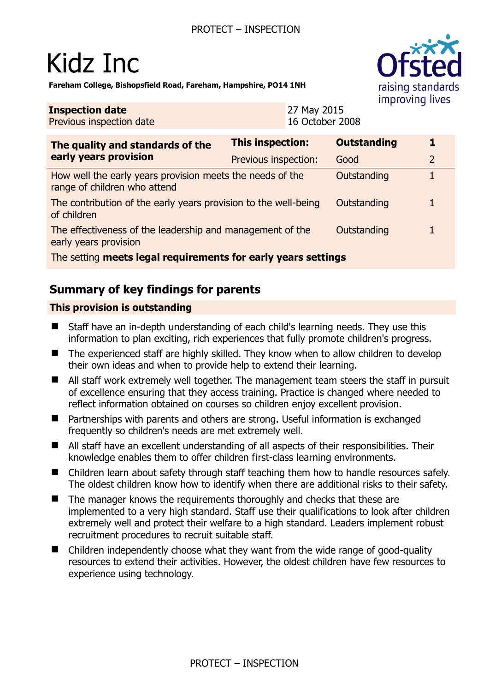# Kidz Inc

**Fareham College, Bishopsfield Road, Fareham, Hampshire, PO14 1NH** 

#### **Inspection date** Previous inspection date

27 May 2015 16 October 2008

| The quality and standards of the<br>early years provision                                 | <b>This inspection:</b> | <b>Outstanding</b> |   |
|-------------------------------------------------------------------------------------------|-------------------------|--------------------|---|
|                                                                                           | Previous inspection:    | Good               | 2 |
| How well the early years provision meets the needs of the<br>range of children who attend |                         | Outstanding        |   |
| The contribution of the early years provision to the well-being<br>of children            |                         | Outstanding        |   |
| The effectiveness of the leadership and management of the<br>early years provision        |                         | Outstanding        |   |
| The setting meets legal requirements for early years settings                             |                         |                    |   |

# **Summary of key findings for parents**

## **This provision is outstanding**

- Staff have an in-depth understanding of each child's learning needs. They use this information to plan exciting, rich experiences that fully promote children's progress.
- The experienced staff are highly skilled. They know when to allow children to develop their own ideas and when to provide help to extend their learning.
- All staff work extremely well together. The management team steers the staff in pursuit of excellence ensuring that they access training. Practice is changed where needed to reflect information obtained on courses so children enjoy excellent provision.
- Partnerships with parents and others are strong. Useful information is exchanged frequently so children's needs are met extremely well.
- All staff have an excellent understanding of all aspects of their responsibilities. Their knowledge enables them to offer children first-class learning environments.
- Children learn about safety through staff teaching them how to handle resources safely. The oldest children know how to identify when there are additional risks to their safety.
- $\blacksquare$  The manager knows the requirements thoroughly and checks that these are implemented to a very high standard. Staff use their qualifications to look after children extremely well and protect their welfare to a high standard. Leaders implement robust recruitment procedures to recruit suitable staff.
- Children independently choose what they want from the wide range of good-quality resources to extend their activities. However, the oldest children have few resources to experience using technology.

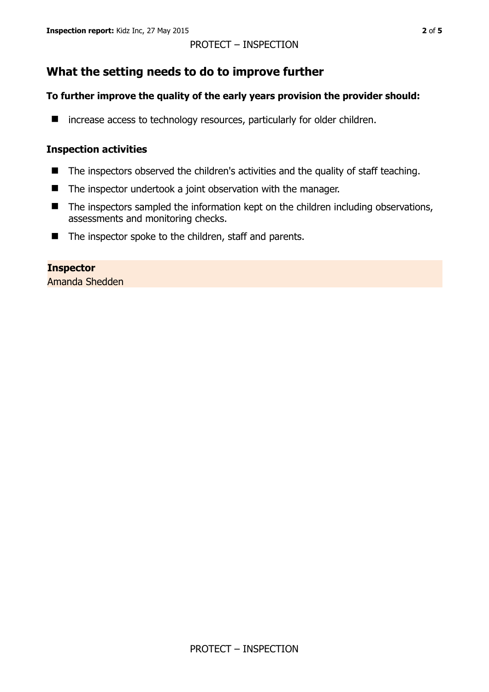## PROTECT – INSPECTION

## **What the setting needs to do to improve further**

## **To further improve the quality of the early years provision the provider should:**

■ increase access to technology resources, particularly for older children.

## **Inspection activities**

- The inspectors observed the children's activities and the quality of staff teaching.
- The inspector undertook a joint observation with the manager.
- $\blacksquare$  The inspectors sampled the information kept on the children including observations, assessments and monitoring checks.
- The inspector spoke to the children, staff and parents.

## **Inspector**

Amanda Shedden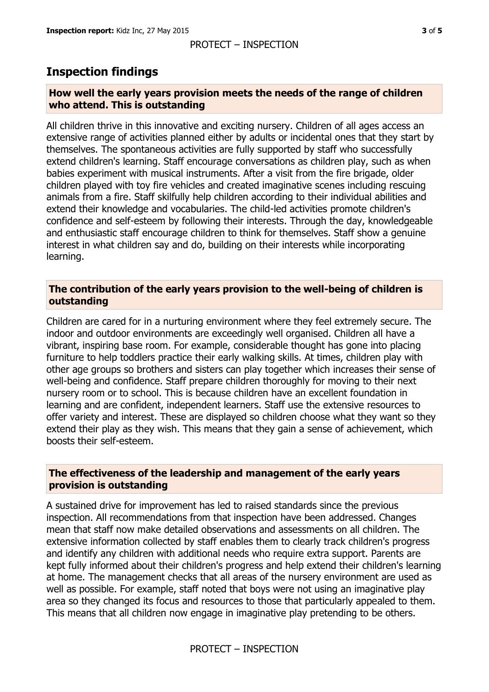#### PROTECT – INSPECTION

## **Inspection findings**

#### **How well the early years provision meets the needs of the range of children who attend. This is outstanding**

All children thrive in this innovative and exciting nursery. Children of all ages access an extensive range of activities planned either by adults or incidental ones that they start by themselves. The spontaneous activities are fully supported by staff who successfully extend children's learning. Staff encourage conversations as children play, such as when babies experiment with musical instruments. After a visit from the fire brigade, older children played with toy fire vehicles and created imaginative scenes including rescuing animals from a fire. Staff skilfully help children according to their individual abilities and extend their knowledge and vocabularies. The child-led activities promote children's confidence and self-esteem by following their interests. Through the day, knowledgeable and enthusiastic staff encourage children to think for themselves. Staff show a genuine interest in what children say and do, building on their interests while incorporating learning.

#### **The contribution of the early years provision to the well-being of children is outstanding**

Children are cared for in a nurturing environment where they feel extremely secure. The indoor and outdoor environments are exceedingly well organised. Children all have a vibrant, inspiring base room. For example, considerable thought has gone into placing furniture to help toddlers practice their early walking skills. At times, children play with other age groups so brothers and sisters can play together which increases their sense of well-being and confidence. Staff prepare children thoroughly for moving to their next nursery room or to school. This is because children have an excellent foundation in learning and are confident, independent learners. Staff use the extensive resources to offer variety and interest. These are displayed so children choose what they want so they extend their play as they wish. This means that they gain a sense of achievement, which boosts their self-esteem.

#### **The effectiveness of the leadership and management of the early years provision is outstanding**

A sustained drive for improvement has led to raised standards since the previous inspection. All recommendations from that inspection have been addressed. Changes mean that staff now make detailed observations and assessments on all children. The extensive information collected by staff enables them to clearly track children's progress and identify any children with additional needs who require extra support. Parents are kept fully informed about their children's progress and help extend their children's learning at home. The management checks that all areas of the nursery environment are used as well as possible. For example, staff noted that boys were not using an imaginative play area so they changed its focus and resources to those that particularly appealed to them. This means that all children now engage in imaginative play pretending to be others.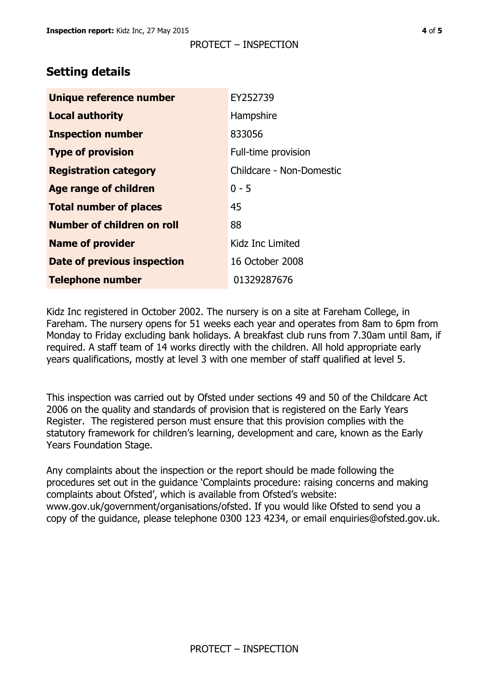# **Setting details**

| Unique reference number       | EY252739                 |  |
|-------------------------------|--------------------------|--|
| <b>Local authority</b>        | Hampshire                |  |
| <b>Inspection number</b>      | 833056                   |  |
| <b>Type of provision</b>      | Full-time provision      |  |
| <b>Registration category</b>  | Childcare - Non-Domestic |  |
| <b>Age range of children</b>  | $0 - 5$                  |  |
| <b>Total number of places</b> | 45                       |  |
| Number of children on roll    | 88                       |  |
| <b>Name of provider</b>       | Kidz Inc Limited         |  |
| Date of previous inspection   | 16 October 2008          |  |
| <b>Telephone number</b>       | 01329287676              |  |

Kidz Inc registered in October 2002. The nursery is on a site at Fareham College, in Fareham. The nursery opens for 51 weeks each year and operates from 8am to 6pm from Monday to Friday excluding bank holidays. A breakfast club runs from 7.30am until 8am, if required. A staff team of 14 works directly with the children. All hold appropriate early years qualifications, mostly at level 3 with one member of staff qualified at level 5.

This inspection was carried out by Ofsted under sections 49 and 50 of the Childcare Act 2006 on the quality and standards of provision that is registered on the Early Years Register. The registered person must ensure that this provision complies with the statutory framework for children's learning, development and care, known as the Early Years Foundation Stage.

Any complaints about the inspection or the report should be made following the procedures set out in the guidance 'Complaints procedure: raising concerns and making complaints about Ofsted', which is available from Ofsted's website: www.gov.uk/government/organisations/ofsted. If you would like Ofsted to send you a copy of the guidance, please telephone 0300 123 4234, or email enquiries@ofsted.gov.uk.